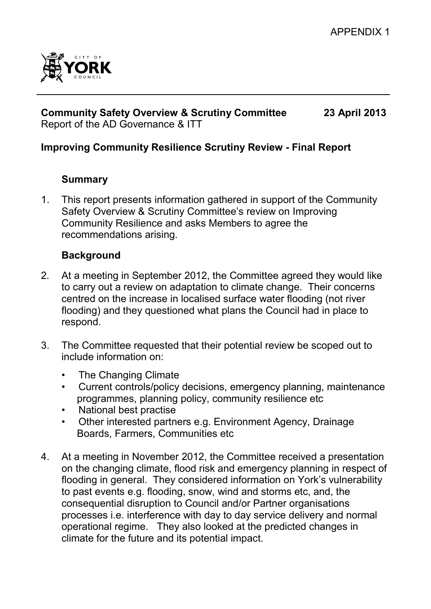

#### **Community Safety Overview & Scrutiny Committee 23 April 2013** Report of the AD Governance & ITT

## **Improving Community Resilience Scrutiny Review - Final Report**

### **Summary**

1. This report presents information gathered in support of the Community Safety Overview & Scrutiny Committee's review on Improving Community Resilience and asks Members to agree the recommendations arising.

### **Background**

- 2*.* At a meeting in September 2012, the Committee agreed they would like to carry out a review on adaptation to climate change. Their concerns centred on the increase in localised surface water flooding (not river flooding) and they questioned what plans the Council had in place to respond.
- 3. The Committee requested that their potential review be scoped out to include information on:
	- The Changing Climate
	- Current controls/policy decisions, emergency planning, maintenance programmes, planning policy, community resilience etc
	- National best practise
	- Other interested partners e.g. Environment Agency, Drainage Boards, Farmers, Communities etc
- 4. At a meeting in November 2012, the Committee received a presentation on the changing climate, flood risk and emergency planning in respect of flooding in general. They considered information on York's vulnerability to past events e.g. flooding, snow, wind and storms etc, and, the consequential disruption to Council and/or Partner organisations processes i.e. interference with day to day service delivery and normal operational regime. They also looked at the predicted changes in climate for the future and its potential impact.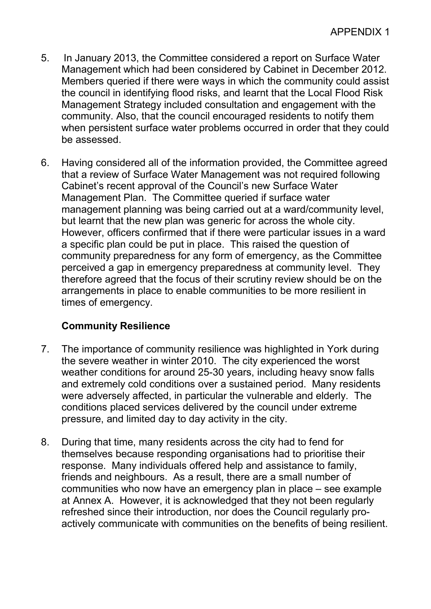- 5. In January 2013, the Committee considered a report on Surface Water Management which had been considered by Cabinet in December 2012. Members queried if there were ways in which the community could assist the council in identifying flood risks, and learnt that the Local Flood Risk Management Strategy included consultation and engagement with the community. Also, that the council encouraged residents to notify them when persistent surface water problems occurred in order that they could be assessed.
- 6. Having considered all of the information provided, the Committee agreed that a review of Surface Water Management was not required following Cabinet's recent approval of the Council's new Surface Water Management Plan. The Committee queried if surface water management planning was being carried out at a ward/community level, but learnt that the new plan was generic for across the whole city. However, officers confirmed that if there were particular issues in a ward a specific plan could be put in place. This raised the question of community preparedness for any form of emergency, as the Committee perceived a gap in emergency preparedness at community level. They therefore agreed that the focus of their scrutiny review should be on the arrangements in place to enable communities to be more resilient in times of emergency.

## **Community Resilience**

- 7. The importance of community resilience was highlighted in York during the severe weather in winter 2010. The city experienced the worst weather conditions for around 25-30 years, including heavy snow falls and extremely cold conditions over a sustained period. Many residents were adversely affected, in particular the vulnerable and elderly. The conditions placed services delivered by the council under extreme pressure, and limited day to day activity in the city.
- 8. During that time, many residents across the city had to fend for themselves because responding organisations had to prioritise their response. Many individuals offered help and assistance to family, friends and neighbours. As a result, there are a small number of communities who now have an emergency plan in place – see example at Annex A. However, it is acknowledged that they not been regularly refreshed since their introduction, nor does the Council regularly proactively communicate with communities on the benefits of being resilient.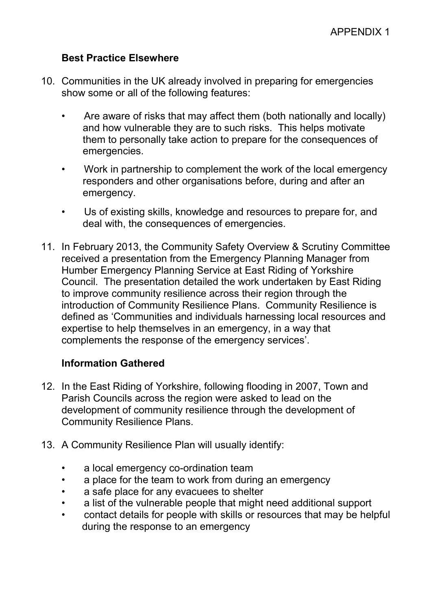### **Best Practice Elsewhere**

- 10. Communities in the UK already involved in preparing for emergencies show some or all of the following features:
	- Are aware of risks that may affect them (both nationally and locally) and how vulnerable they are to such risks. This helps motivate them to personally take action to prepare for the consequences of emergencies.
	- Work in partnership to complement the work of the local emergency responders and other organisations before, during and after an emergency.
	- Us of existing skills, knowledge and resources to prepare for, and deal with, the consequences of emergencies.
- 11. In February 2013, the Community Safety Overview & Scrutiny Committee received a presentation from the Emergency Planning Manager from Humber Emergency Planning Service at East Riding of Yorkshire Council. The presentation detailed the work undertaken by East Riding to improve community resilience across their region through the introduction of Community Resilience Plans. Community Resilience is defined as 'Communities and individuals harnessing local resources and expertise to help themselves in an emergency, in a way that complements the response of the emergency services'.

### **Information Gathered**

- 12. In the East Riding of Yorkshire, following flooding in 2007, Town and Parish Councils across the region were asked to lead on the development of community resilience through the development of Community Resilience Plans.
- 13. A Community Resilience Plan will usually identify:
	- a local emergency co-ordination team
	- a place for the team to work from during an emergency
	- a safe place for any evacuees to shelter
	- a list of the vulnerable people that might need additional support
	- contact details for people with skills or resources that may be helpful during the response to an emergency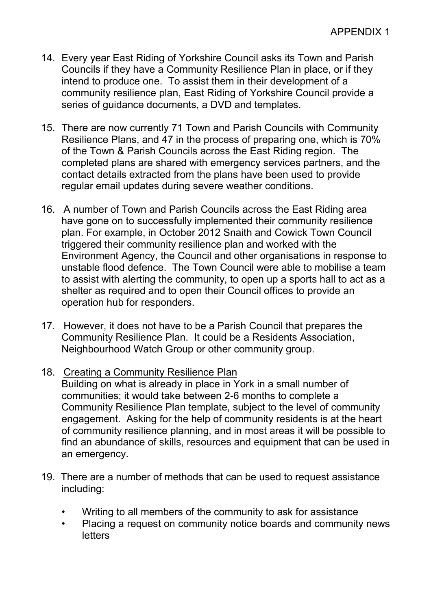- 14. Every year East Riding of Yorkshire Council asks its Town and Parish Councils if they have a Community Resilience Plan in place, or if they intend to produce one. To assist them in their development of a community resilience plan, East Riding of Yorkshire Council provide a series of guidance documents, a DVD and templates.
- 15. There are now currently 71 Town and Parish Councils with Community Resilience Plans, and 47 in the process of preparing one, which is 70% of the Town & Parish Councils across the East Riding region. The completed plans are shared with emergency services partners, and the contact details extracted from the plans have been used to provide regular email updates during severe weather conditions.
- 16. A number of Town and Parish Councils across the East Riding area have gone on to successfully implemented their community resilience plan. For example, in October 2012 Snaith and Cowick Town Council triggered their community resilience plan and worked with the Environment Agency, the Council and other organisations in response to unstable flood defence. The Town Council were able to mobilise a team to assist with alerting the community, to open up a sports hall to act as a shelter as required and to open their Council offices to provide an operation hub for responders.
- 17. However, it does not have to be a Parish Council that prepares the Community Resilience Plan. It could be a Residents Association, Neighbourhood Watch Group or other community group.
- 18. Creating a Community Resilience Plan

Building on what is already in place in York in a small number of communities; it would take between 2-6 months to complete a Community Resilience Plan template, subject to the level of community engagement. Asking for the help of community residents is at the heart of community resilience planning, and in most areas it will be possible to find an abundance of skills, resources and equipment that can be used in an emergency.

- 19. There are a number of methods that can be used to request assistance including:
	- Writing to all members of the community to ask for assistance
	- Placing a request on community notice boards and community news **letters**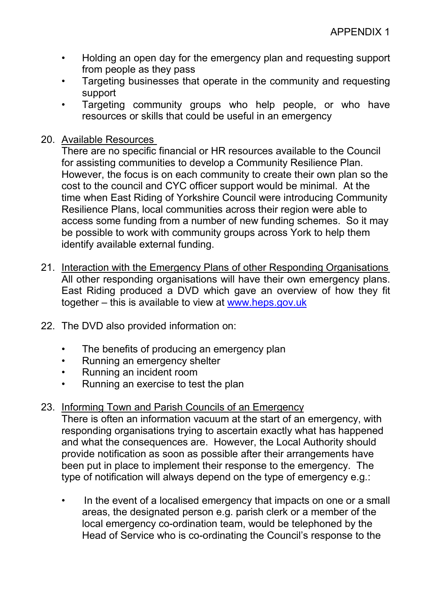- Holding an open day for the emergency plan and requesting support from people as they pass
- Targeting businesses that operate in the community and requesting support
- Targeting community groups who help people, or who have resources or skills that could be useful in an emergency
- 20. Available Resources

There are no specific financial or HR resources available to the Council for assisting communities to develop a Community Resilience Plan. However, the focus is on each community to create their own plan so the cost to the council and CYC officer support would be minimal. At the time when East Riding of Yorkshire Council were introducing Community Resilience Plans, local communities across their region were able to access some funding from a number of new funding schemes. So it may be possible to work with community groups across York to help them identify available external funding.

- 21. Interaction with the Emergency Plans of other Responding Organisations All other responding organisations will have their own emergency plans. East Riding produced a DVD which gave an overview of how they fit together – this is available to view at www.heps.gov.uk
- 22. The DVD also provided information on:
	- The benefits of producing an emergency plan
	- Running an emergency shelter
	- Running an incident room
	- Running an exercise to test the plan

## 23. Informing Town and Parish Councils of an Emergency

There is often an information vacuum at the start of an emergency, with responding organisations trying to ascertain exactly what has happened and what the consequences are. However, the Local Authority should provide notification as soon as possible after their arrangements have been put in place to implement their response to the emergency. The type of notification will always depend on the type of emergency e.g.:

• In the event of a localised emergency that impacts on one or a small areas, the designated person e.g. parish clerk or a member of the local emergency co-ordination team, would be telephoned by the Head of Service who is co-ordinating the Council's response to the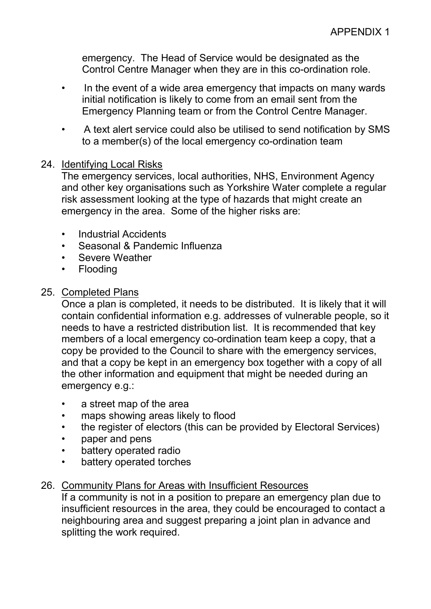emergency. The Head of Service would be designated as the Control Centre Manager when they are in this co-ordination role.

- In the event of a wide area emergency that impacts on many wards initial notification is likely to come from an email sent from the Emergency Planning team or from the Control Centre Manager.
- A text alert service could also be utilised to send notification by SMS to a member(s) of the local emergency co-ordination team

### 24. Identifying Local Risks

The emergency services, local authorities, NHS, Environment Agency and other key organisations such as Yorkshire Water complete a regular risk assessment looking at the type of hazards that might create an emergency in the area. Some of the higher risks are:

- Industrial Accidents
- Seasonal & Pandemic Influenza
- Severe Weather
- Flooding

#### 25. Completed Plans

Once a plan is completed, it needs to be distributed. It is likely that it will contain confidential information e.g. addresses of vulnerable people, so it needs to have a restricted distribution list. It is recommended that key members of a local emergency co-ordination team keep a copy, that a copy be provided to the Council to share with the emergency services, and that a copy be kept in an emergency box together with a copy of all the other information and equipment that might be needed during an emergency e.g.:

- a street map of the area
- maps showing areas likely to flood
- the register of electors (this can be provided by Electoral Services)
- paper and pens
- battery operated radio
- battery operated torches

### 26. Community Plans for Areas with Insufficient Resources

If a community is not in a position to prepare an emergency plan due to insufficient resources in the area, they could be encouraged to contact a neighbouring area and suggest preparing a joint plan in advance and splitting the work required.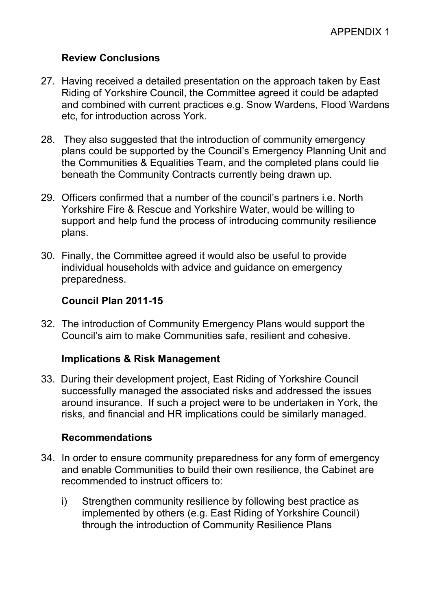## **Review Conclusions**

- 27. Having received a detailed presentation on the approach taken by East Riding of Yorkshire Council, the Committee agreed it could be adapted and combined with current practices e.g. Snow Wardens, Flood Wardens etc, for introduction across York.
- 28. They also suggested that the introduction of community emergency plans could be supported by the Council's Emergency Planning Unit and the Communities & Equalities Team, and the completed plans could lie beneath the Community Contracts currently being drawn up.
- 29. Officers confirmed that a number of the council's partners i.e. North Yorkshire Fire & Rescue and Yorkshire Water, would be willing to support and help fund the process of introducing community resilience plans.
- 30. Finally, the Committee agreed it would also be useful to provide individual households with advice and guidance on emergency preparedness.

## **Council Plan 2011-15**

32. The introduction of Community Emergency Plans would support the Council's aim to make Communities safe, resilient and cohesive.

## **Implications & Risk Management**

33. During their development project, East Riding of Yorkshire Council successfully managed the associated risks and addressed the issues around insurance. If such a project were to be undertaken in York, the risks, and financial and HR implications could be similarly managed.

### **Recommendations**

- 34. In order to ensure community preparedness for any form of emergency and enable Communities to build their own resilience, the Cabinet are recommended to instruct officers to:
	- i) Strengthen community resilience by following best practice as implemented by others (e.g. East Riding of Yorkshire Council) through the introduction of Community Resilience Plans